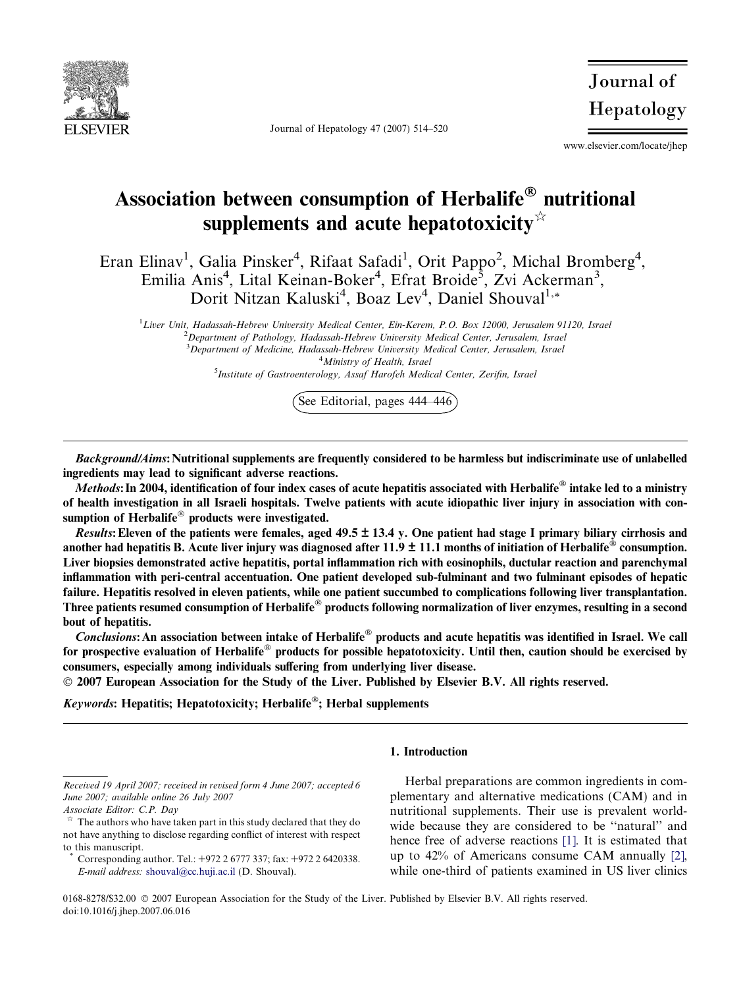

Journal of Hepatology 47 (2007) 514–520

Journal of Hepatology

www.elsevier.com/locate/jhep

# Association between consumption of Herbalife $^\circledR$  nutritional supplements and acute hepatotoxicity $\dot{\alpha}$

Eran Elinav<sup>1</sup>, Galia Pinsker<sup>4</sup>, Rifaat Safadi<sup>1</sup>, Orit Pappo<sup>2</sup>, Michal Bromberg<sup>4</sup>, Emilia Anis<sup>4</sup>, Lital Keinan-Boker<sup>4</sup>, Efrat Broide<sup>5</sup>, Zvi Ackerman<sup>3</sup>, Dorit Nitzan Kaluski<sup>4</sup>, Boaz Lev<sup>4</sup>, Daniel Shouval<sup>1,\*</sup>

<sup>1</sup>Liver Unit, Hadassah-Hebrew University Medical Center, Ein-Kerem, P.O. Box 12000, Jerusalem 91120, Israel  $^{2}$ Department of Pathology, Hadassah-Hebrew University Medical Center, Jerusalem, Israel <sup>3</sup>Department of Medicine, Hadassah-Hebrew University Medical Center, Jerusalem, Israel <sup>4</sup>Ministry of Health, Israel

<sup>5</sup>Institute of Gastroenterology, Assaf Harofeh Medical Center, Zerifin, Israel

See Editorial, pages 444–446

Background/Aims: Nutritional supplements are frequently considered to be harmless but indiscriminate use of unlabelled ingredients may lead to significant adverse reactions.

 $\overline{Methods}$ : In 2004, identification of four index cases of acute hepatitis associated with Herbalife $^{\circledR}$  intake led to a ministry of health investigation in all Israeli hospitals. Twelve patients with acute idiopathic liver injury in association with consumption of Herbalife® products were investigated.

Results: Eleven of the patients were females, aged  $49.5 \pm 13.4$  y. One patient had stage I primary biliary cirrhosis and another had hepatitis B. Acute liver injury was diagnosed after  $11.9 \pm 11.1$  months of initiation of Herbalife® consumption. Liver biopsies demonstrated active hepatitis, portal inflammation rich with eosinophils, ductular reaction and parenchymal inflammation with peri-central accentuation. One patient developed sub-fulminant and two fulminant episodes of hepatic failure. Hepatitis resolved in eleven patients, while one patient succumbed to complications following liver transplantation. Three patients resumed consumption of Herbalife® products following normalization of liver enzymes, resulting in a second bout of hepatitis.

 $Conclusions:$  An association between intake of Herbalife® products and acute hepatitis was identified in Israel. We call for prospective evaluation of Herbalife® products for possible hepatotoxicity. Until then, caution should be exercised by consumers, especially among individuals suffering from underlying liver disease.

2007 European Association for the Study of the Liver. Published by Elsevier B.V. All rights reserved.

Keywords: Hepatitis; Hepatotoxicity; Herbalife®; Herbal supplements

# 1. Introduction

Herbal preparations are common ingredients in complementary and alternative medications (CAM) and in nutritional supplements. Their use is prevalent worldwide because they are considered to be ''natural'' and hence free of adverse reactions [\[1\].](#page-6-0) It is estimated that up to 42% of Americans consume CAM annually [\[2\]](#page-6-0), while one-third of patients examined in US liver clinics

0168-8278/\$32.00  $\odot$  2007 European Association for the Study of the Liver. Published by Elsevier B.V. All rights reserved. doi:10.1016/j.jhep.2007.06.016

Received 19 April 2007; received in revised form 4 June 2007; accepted 6 June 2007; available online 26 July 2007

Associate Editor: C.P. Day

The authors who have taken part in this study declared that they do not have anything to disclose regarding conflict of interest with respect to this manuscript.

Corresponding author. Tel.: +972 2 6777 337; fax: +972 2 6420338. E-mail address: [shouval@cc.huji.ac.il](mailto:shouval@cc.huji.ac.il) (D. Shouval).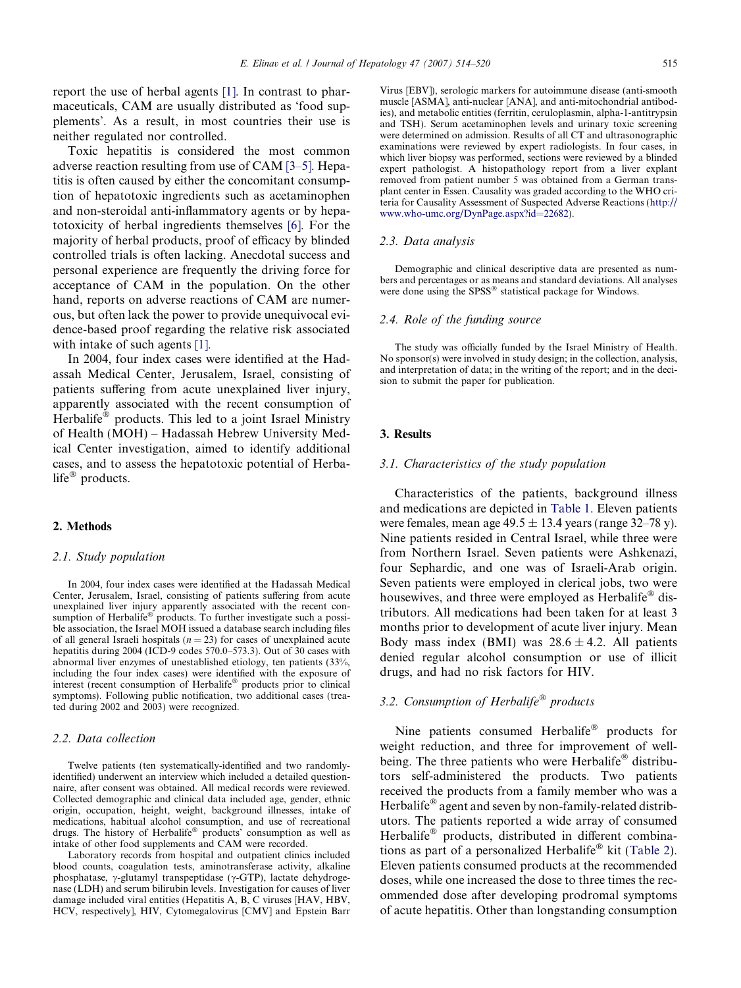report the use of herbal agents [\[1\]](#page-6-0). In contrast to pharmaceuticals, CAM are usually distributed as 'food supplements'. As a result, in most countries their use is neither regulated nor controlled.

Toxic hepatitis is considered the most common adverse reaction resulting from use of CAM [\[3–5\]](#page-6-0). Hepatitis is often caused by either the concomitant consumption of hepatotoxic ingredients such as acetaminophen and non-steroidal anti-inflammatory agents or by hepatotoxicity of herbal ingredients themselves [\[6\].](#page-6-0) For the majority of herbal products, proof of efficacy by blinded controlled trials is often lacking. Anecdotal success and personal experience are frequently the driving force for acceptance of CAM in the population. On the other hand, reports on adverse reactions of CAM are numerous, but often lack the power to provide unequivocal evidence-based proof regarding the relative risk associated with intake of such agents [\[1\]](#page-6-0).

In 2004, four index cases were identified at the Hadassah Medical Center, Jerusalem, Israel, consisting of patients suffering from acute unexplained liver injury, apparently associated with the recent consumption of Herbalife® products. This led to a joint Israel Ministry of Health (MOH) – Hadassah Hebrew University Medical Center investigation, aimed to identify additional cases, and to assess the hepatotoxic potential of Herbalife<sup>®</sup> products.

## 2. Methods

#### 2.1. Study population

In 2004, four index cases were identified at the Hadassah Medical Center, Jerusalem, Israel, consisting of patients suffering from acute unexplained liver injury apparently associated with the recent consumption of Herbalife<sup>®</sup> products. To further investigate such a possible association, the Israel MOH issued a database search including files of all general Israeli hospitals ( $n = 23$ ) for cases of unexplained acute hepatitis during 2004 (ICD-9 codes 570.0–573.3). Out of 30 cases with abnormal liver enzymes of unestablished etiology, ten patients (33%, including the four index cases) were identified with the exposure of interest (recent consumption of Herbalife® products prior to clinical symptoms). Following public notification, two additional cases (treated during 2002 and 2003) were recognized.

#### 2.2. Data collection

Twelve patients (ten systematically-identified and two randomlyidentified) underwent an interview which included a detailed questionnaire, after consent was obtained. All medical records were reviewed. Collected demographic and clinical data included age, gender, ethnic origin, occupation, height, weight, background illnesses, intake of medications, habitual alcohol consumption, and use of recreational drugs. The history of Herbalife® products' consumption as well as intake of other food supplements and CAM were recorded.

Laboratory records from hospital and outpatient clinics included blood counts, coagulation tests, aminotransferase activity, alkaline phosphatase,  $\gamma$ -glutamyl transpeptidase ( $\gamma$ -GTP), lactate dehydrogenase (LDH) and serum bilirubin levels. Investigation for causes of liver damage included viral entities (Hepatitis A, B, C viruses [HAV, HBV, HCV, respectively], HIV, Cytomegalovirus [CMV] and Epstein Barr Virus [EBV]), serologic markers for autoimmune disease (anti-smooth muscle [ASMA], anti-nuclear [ANA], and anti-mitochondrial antibodies), and metabolic entities (ferritin, ceruloplasmin, alpha-1-antitrypsin and TSH). Serum acetaminophen levels and urinary toxic screening were determined on admission. Results of all CT and ultrasonographic examinations were reviewed by expert radiologists. In four cases, in which liver biopsy was performed, sections were reviewed by a blinded expert pathologist. A histopathology report from a liver explant removed from patient number 5 was obtained from a German transplant center in Essen. Causality was graded according to the WHO criteria for Causality Assessment of Suspected Adverse Reactions ([http://](http://www.who-umc.org/DynPage.aspx?id=22682) [www.who-umc.org/DynPage.aspx?id=22682](http://www.who-umc.org/DynPage.aspx?id=22682)).

#### 2.3. Data analysis

Demographic and clinical descriptive data are presented as numbers and percentages or as means and standard deviations. All analyses were done using the SPSS<sup>®</sup> statistical package for Windows.

#### 2.4. Role of the funding source

The study was officially funded by the Israel Ministry of Health. No sponsor(s) were involved in study design; in the collection, analysis, and interpretation of data; in the writing of the report; and in the decision to submit the paper for publication.

#### 3. Results

#### 3.1. Characteristics of the study population

Characteristics of the patients, background illness and medications are depicted in [Table 1.](#page-2-0) Eleven patients were females, mean age  $49.5 \pm 13.4$  years (range 32–78 y). Nine patients resided in Central Israel, while three were from Northern Israel. Seven patients were Ashkenazi, four Sephardic, and one was of Israeli-Arab origin. Seven patients were employed in clerical jobs, two were housewives, and three were employed as Herbalife® distributors. All medications had been taken for at least 3 months prior to development of acute liver injury. Mean Body mass index (BMI) was  $28.6 \pm 4.2$ . All patients denied regular alcohol consumption or use of illicit drugs, and had no risk factors for HIV.

# 3.2. Consumption of Herbalife<sup>®</sup> products

Nine patients consumed Herbalife® products for weight reduction, and three for improvement of wellbeing. The three patients who were Herbalife® distributors self-administered the products. Two patients received the products from a family member who was a Herbalife® agent and seven by non-family-related distributors. The patients reported a wide array of consumed Herbalife® products, distributed in different combina-tions as part of a personalized Herbalife<sup>®</sup> kit [\(Table 2\)](#page-2-0). Eleven patients consumed products at the recommended doses, while one increased the dose to three times the recommended dose after developing prodromal symptoms of acute hepatitis. Other than longstanding consumption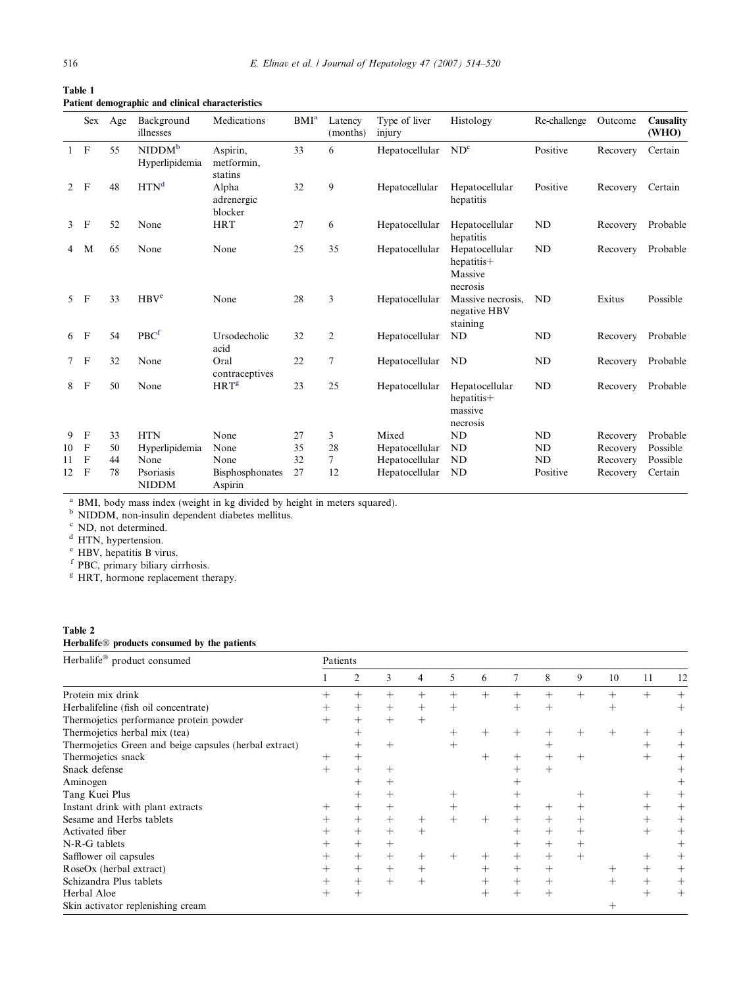|                | Sex          | Age | Background<br>illnesses              | Medications                       | BMI <sup>a</sup> | Latency<br>(months) | Type of liver<br>injury | Histology                                           | Re-challenge | Outcome  | Causality<br>(WHO) |
|----------------|--------------|-----|--------------------------------------|-----------------------------------|------------------|---------------------|-------------------------|-----------------------------------------------------|--------------|----------|--------------------|
| $1 \quad F$    |              | 55  | NIDDM <sup>b</sup><br>Hyperlipidemia | Aspirin,<br>metformin,<br>statins | 33               | 6                   | Hepatocellular          | ND <sup>c</sup>                                     | Positive     | Recovery | Certain            |
| $\overline{2}$ | $\mathbf{F}$ | 48  | HTN <sup>d</sup>                     | Alpha<br>adrenergic<br>blocker    | 32               | 9                   | Hepatocellular          | Hepatocellular<br>hepatitis                         | Positive     | Recovery | Certain            |
| $\mathbf{3}$   | $\mathbf F$  | 52  | None                                 | <b>HRT</b>                        | 27               | 6                   | Hepatocellular          | Hepatocellular<br>hepatitis                         | <b>ND</b>    | Recovery | Probable           |
| $\overline{4}$ | M            | 65  | None                                 | None                              | 25               | 35                  | Hepatocellular          | Hepatocellular<br>hepatitis+<br>Massive<br>necrosis | <b>ND</b>    | Recovery | Probable           |
| 5 <sup>1</sup> | $\mathbf{F}$ | 33  | HBV <sup>e</sup>                     | None                              | 28               | 3                   | Hepatocellular          | Massive necrosis,<br>negative HBV<br>staining       | <b>ND</b>    | Exitus   | Possible           |
| 6              | $\mathbf{F}$ | 54  | PBC <sup>f</sup>                     | Ursodecholic<br>acid              | 32               | 2                   | Hepatocellular          | ND                                                  | <b>ND</b>    | Recovery | Probable           |
| $\tau$         | $\mathbf F$  | 32  | None                                 | Oral<br>contraceptives            | 22               | 7                   | Hepatocellular          | ND                                                  | ND           | Recovery | Probable           |
| 8              | $\mathbf{F}$ | 50  | None                                 | HRT <sup>g</sup>                  | 23               | 25                  | Hepatocellular          | Hepatocellular<br>hepatitis+<br>massive<br>necrosis | ND           | Recovery | Probable           |
| 9              | $\mathbf F$  | 33  | <b>HTN</b>                           | None                              | 27               | 3                   | Mixed                   | <b>ND</b>                                           | <b>ND</b>    | Recovery | Probable           |
| 10             | $\mathbf F$  | 50  | Hyperlipidemia                       | None                              | 35               | 28                  | Hepatocellular          | ND                                                  | <b>ND</b>    | Recovery | Possible           |
| 11             | $\mathbf F$  | 44  | None                                 | None                              | 32               | $\overline{7}$      | Hepatocellular          | ND                                                  | <b>ND</b>    | Recovery | Possible           |
| 12             | $\mathbf{F}$ | 78  | Psoriasis<br><b>NIDDM</b>            | Bisphosphonates<br>Aspirin        | 27               | 12                  | Hepatocellular          | ND                                                  | Positive     | Recovery | Certain            |

<span id="page-2-0"></span>Table 1 Patient demographic and clinical characteristics

<sup>a</sup> BMI, body mass index (weight in kg divided by height in meters squared).

<sup>b</sup> NIDDM, non-insulin dependent diabetes mellitus.

 $\alpha$  ND, not determined.

<sup>e</sup> HBV, hepatitis B virus.

<sup>f</sup> PBC, primary biliary cirrhosis.

<sup>g</sup> HRT, hormone replacement therapy.

# Table 2

#### Herbalife<sup>®</sup> products consumed by the patients

| Herbalife® product consumed                            |      | Patients       |        |        |        |        |                    |                    |        |    |                    |              |  |
|--------------------------------------------------------|------|----------------|--------|--------|--------|--------|--------------------|--------------------|--------|----|--------------------|--------------|--|
|                                                        |      | $\overline{c}$ | 3      | 4      | 5      | 6      | 7                  | 8                  | 9      | 10 | 11                 | 12           |  |
| Protein mix drink                                      |      |                |        |        |        | $^{+}$ |                    |                    |        |    |                    | $^{+}$       |  |
| Herbalifeline (fish oil concentrate)                   |      | $^+$           |        |        | $^{+}$ |        | $^{+}$             |                    |        |    |                    |              |  |
| Thermojetics performance protein powder                |      | $^{+}$         | $^{+}$ | $^{+}$ |        |        |                    |                    |        |    |                    |              |  |
| Thermojetics herbal mix (tea)                          |      | $^+$           |        |        | $^+$   | $^{+}$ | $^+$               | $\hspace{0.1mm} +$ | $^+$   |    |                    |              |  |
| Thermojetics Green and beige capsules (herbal extract) |      | $^+$           | $^{+}$ |        | $+$    |        |                    | $\hspace{0.1mm} +$ |        |    | $\pm$              | $^+$         |  |
| Thermojetics snack                                     | $^+$ | $^+$           |        |        |        | $^+$   | $^{+}$             | $^{+}$             |        |    |                    |              |  |
| Snack defense                                          |      |                | $^+$   |        |        |        |                    | $^{+}$             |        |    |                    |              |  |
| Aminogen                                               |      |                | $^+$   |        |        |        |                    |                    |        |    |                    |              |  |
| Tang Kuei Plus                                         |      |                | $^+$   |        |        |        |                    |                    |        |    |                    |              |  |
| Instant drink with plant extracts                      |      | $^{+}$         | $^+$   |        | $^+$   |        | $^+$               | $^{+}$             | $^+$   |    | $^+$               | $\mathrm{+}$ |  |
| Sesame and Herbs tablets                               |      | $^{+}$         | $^{+}$ | $^{+}$ | $^{+}$ | $^{+}$ | $^{+}$             | $^{+}$             | $^{+}$ |    |                    | $^{+}$       |  |
| Activated fiber                                        |      | $^{+}$         | $^{+}$ | $^{+}$ |        |        | $\hspace{0.1mm} +$ | $^{+}$             | $^{+}$ |    | $\pm$              | $^+$         |  |
| N-R-G tablets                                          |      | $^{+}$         | $^{+}$ |        |        |        | $^{+}$             | $^{+}$             | $^{+}$ |    |                    | $^{+}$       |  |
| Safflower oil capsules                                 |      | $^{+}$         | $^{+}$ |        |        | $^+$   | $^{+}$             | $^{+}$             | $+$    |    | $^+$               | $^+$         |  |
| RoseOx (herbal extract)                                |      | $^{+}$         | $^{+}$ | $^{+}$ |        | $^{+}$ | $^{+}$             | $^{+}$             |        |    | $\hspace{0.1mm} +$ | $^+$         |  |
| Schizandra Plus tablets                                |      | $^{+}$         | $\, +$ |        |        | $^{+}$ | $^{+}$             | $^+$               |        |    |                    |              |  |
| Herbal Aloe                                            |      | $^+$           |        |        |        | $^+$   | $^{+}$             | $^{+}$             |        |    | $^+$               | $^+$         |  |
| Skin activator replenishing cream                      |      |                |        |        |        |        |                    |                    |        |    |                    |              |  |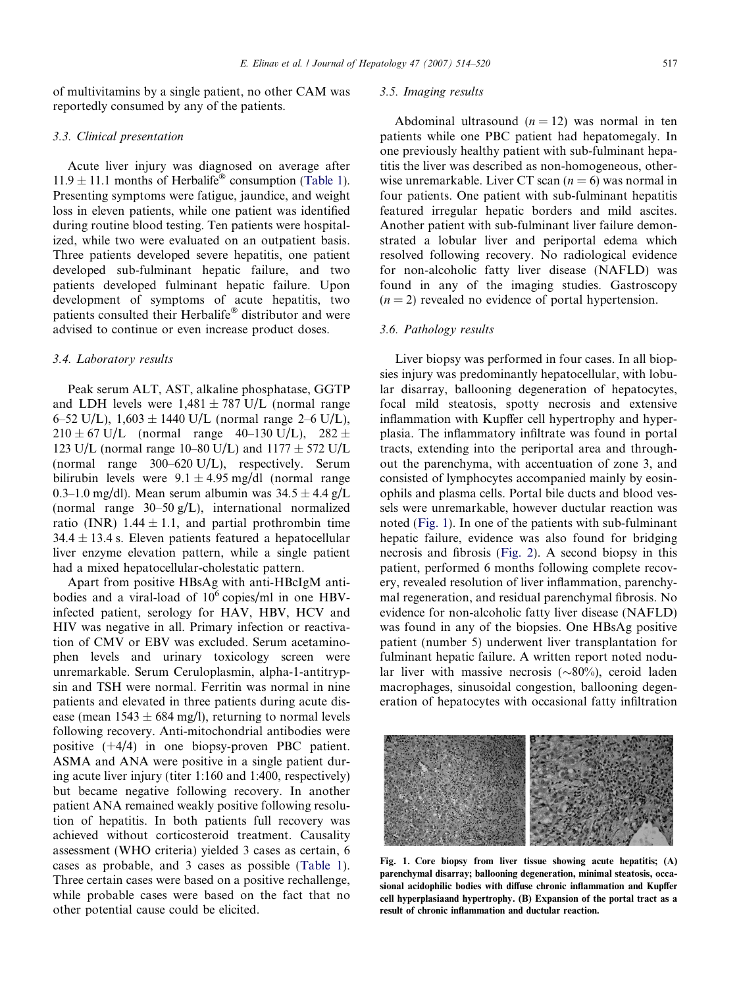of multivitamins by a single patient, no other CAM was reportedly consumed by any of the patients.

# 3.3. Clinical presentation

Acute liver injury was diagnosed on average after  $11.9 \pm 11.1$  months of Herbalife<sup>®</sup> consumption ([Table 1\)](#page-2-0). Presenting symptoms were fatigue, jaundice, and weight loss in eleven patients, while one patient was identified during routine blood testing. Ten patients were hospitalized, while two were evaluated on an outpatient basis. Three patients developed severe hepatitis, one patient developed sub-fulminant hepatic failure, and two patients developed fulminant hepatic failure. Upon development of symptoms of acute hepatitis, two patients consulted their Herbalife® distributor and were advised to continue or even increase product doses.

## 3.4. Laboratory results

Peak serum ALT, AST, alkaline phosphatase, GGTP and LDH levels were  $1,481 \pm 787$  U/L (normal range 6–52 U/L),  $1,603 \pm 1440$  U/L (normal range 2–6 U/L),  $210 \pm 67$  U/L (normal range 40–130 U/L),  $282 \pm$ 123 U/L (normal range 10–80 U/L) and  $1177 \pm 572$  U/L (normal range 300–620 U/L), respectively. Serum bilirubin levels were  $9.1 \pm 4.95$  mg/dl (normal range 0.3–1.0 mg/dl). Mean serum albumin was  $34.5 \pm 4.4$  g/L (normal range 30–50 g/L), international normalized ratio (INR) 1.44  $\pm$  1.1, and partial prothrombin time  $34.4 \pm 13.4$  s. Eleven patients featured a hepatocellular liver enzyme elevation pattern, while a single patient had a mixed hepatocellular-cholestatic pattern.

Apart from positive HBsAg with anti-HBcIgM antibodies and a viral-load of  $10^6$  copies/ml in one HBVinfected patient, serology for HAV, HBV, HCV and HIV was negative in all. Primary infection or reactivation of CMV or EBV was excluded. Serum acetaminophen levels and urinary toxicology screen were unremarkable. Serum Ceruloplasmin, alpha-1-antitrypsin and TSH were normal. Ferritin was normal in nine patients and elevated in three patients during acute disease (mean  $1543 \pm 684$  mg/l), returning to normal levels following recovery. Anti-mitochondrial antibodies were positive (+4/4) in one biopsy-proven PBC patient. ASMA and ANA were positive in a single patient during acute liver injury (titer 1:160 and 1:400, respectively) but became negative following recovery. In another patient ANA remained weakly positive following resolution of hepatitis. In both patients full recovery was achieved without corticosteroid treatment. Causality assessment (WHO criteria) yielded 3 cases as certain, 6 cases as probable, and 3 cases as possible [\(Table 1\)](#page-2-0). Three certain cases were based on a positive rechallenge, while probable cases were based on the fact that no other potential cause could be elicited.

# 3.5. Imaging results

Abdominal ultrasound  $(n = 12)$  was normal in ten patients while one PBC patient had hepatomegaly. In one previously healthy patient with sub-fulminant hepatitis the liver was described as non-homogeneous, otherwise unremarkable. Liver CT scan  $(n = 6)$  was normal in four patients. One patient with sub-fulminant hepatitis featured irregular hepatic borders and mild ascites. Another patient with sub-fulminant liver failure demonstrated a lobular liver and periportal edema which resolved following recovery. No radiological evidence for non-alcoholic fatty liver disease (NAFLD) was found in any of the imaging studies. Gastroscopy  $(n = 2)$  revealed no evidence of portal hypertension.

# 3.6. Pathology results

Liver biopsy was performed in four cases. In all biopsies injury was predominantly hepatocellular, with lobular disarray, ballooning degeneration of hepatocytes, focal mild steatosis, spotty necrosis and extensive inflammation with Kupffer cell hypertrophy and hyperplasia. The inflammatory infiltrate was found in portal tracts, extending into the periportal area and throughout the parenchyma, with accentuation of zone 3, and consisted of lymphocytes accompanied mainly by eosinophils and plasma cells. Portal bile ducts and blood vessels were unremarkable, however ductular reaction was noted (Fig. 1). In one of the patients with sub-fulminant hepatic failure, evidence was also found for bridging necrosis and fibrosis [\(Fig. 2\)](#page-4-0). A second biopsy in this patient, performed 6 months following complete recovery, revealed resolution of liver inflammation, parenchymal regeneration, and residual parenchymal fibrosis. No evidence for non-alcoholic fatty liver disease (NAFLD) was found in any of the biopsies. One HBsAg positive patient (number 5) underwent liver transplantation for fulminant hepatic failure. A written report noted nodular liver with massive necrosis  $(\sim 80\%)$ , ceroid laden macrophages, sinusoidal congestion, ballooning degeneration of hepatocytes with occasional fatty infiltration



Fig. 1. Core biopsy from liver tissue showing acute hepatitis; (A) parenchymal disarray; ballooning degeneration, minimal steatosis, occasional acidophilic bodies with diffuse chronic inflammation and Kupffer cell hyperplasiaand hypertrophy. (B) Expansion of the portal tract as a result of chronic inflammation and ductular reaction.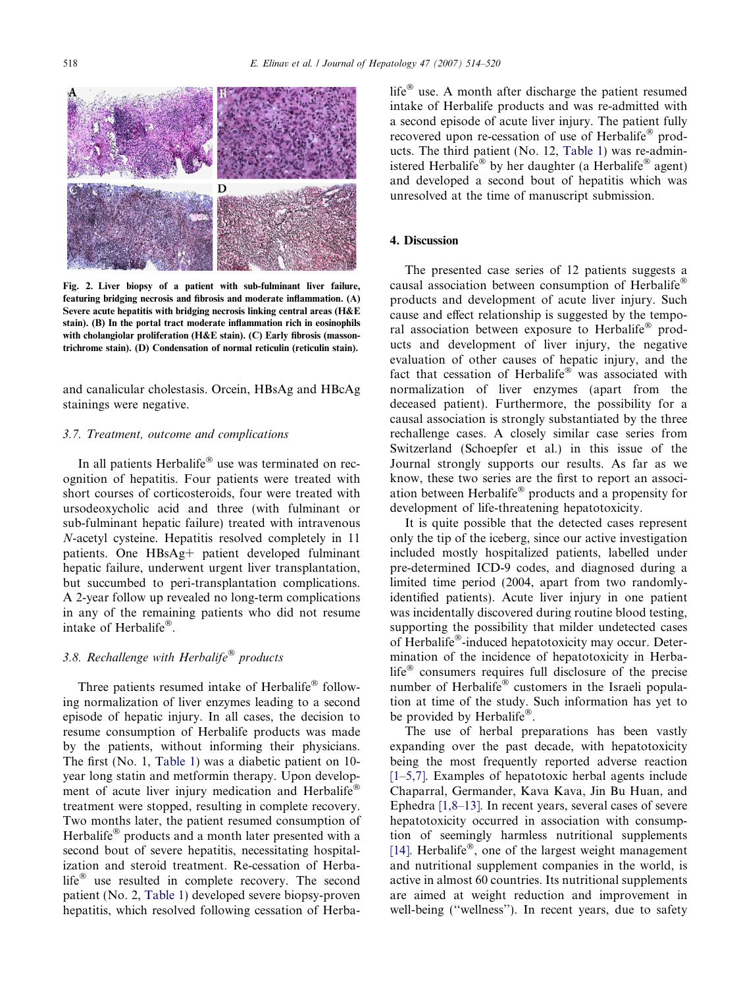<span id="page-4-0"></span>

Fig. 2. Liver biopsy of a patient with sub-fulminant liver failure, featuring bridging necrosis and fibrosis and moderate inflammation. (A) Severe acute hepatitis with bridging necrosis linking central areas (H&E stain). (B) In the portal tract moderate inflammation rich in eosinophils with cholangiolar proliferation (H&E stain). (C) Early fibrosis (massontrichrome stain). (D) Condensation of normal reticulin (reticulin stain).

and canalicular cholestasis. Orcein, HBsAg and HBcAg stainings were negative.

## 3.7. Treatment, outcome and complications

In all patients Herbalife® use was terminated on recognition of hepatitis. Four patients were treated with short courses of corticosteroids, four were treated with ursodeoxycholic acid and three (with fulminant or sub-fulminant hepatic failure) treated with intravenous N-acetyl cysteine. Hepatitis resolved completely in 11 patients. One HBsAg+ patient developed fulminant hepatic failure, underwent urgent liver transplantation, but succumbed to peri-transplantation complications. A 2-year follow up revealed no long-term complications in any of the remaining patients who did not resume intake of Herbalife®.

# 3.8. Rechallenge with Herbalife<sup>®</sup> products

Three patients resumed intake of Herbalife® following normalization of liver enzymes leading to a second episode of hepatic injury. In all cases, the decision to resume consumption of Herbalife products was made by the patients, without informing their physicians. The first (No. 1, [Table 1](#page-2-0)) was a diabetic patient on 10 year long statin and metformin therapy. Upon development of acute liver injury medication and Herbalife® treatment were stopped, resulting in complete recovery. Two months later, the patient resumed consumption of Herbalife® products and a month later presented with a second bout of severe hepatitis, necessitating hospitalization and steroid treatment. Re-cessation of Herbalife<sup>®</sup> use resulted in complete recovery. The second patient (No. 2, [Table 1](#page-2-0)) developed severe biopsy-proven hepatitis, which resolved following cessation of Herbalife<sup>®</sup> use. A month after discharge the patient resumed intake of Herbalife products and was re-admitted with a second episode of acute liver injury. The patient fully recovered upon re-cessation of use of Herbalife® products. The third patient (No. 12, [Table 1](#page-2-0)) was re-administered Herbalife® by her daughter (a Herbalife® agent) and developed a second bout of hepatitis which was unresolved at the time of manuscript submission.

## 4. Discussion

The presented case series of 12 patients suggests a causal association between consumption of Herbalife® products and development of acute liver injury. Such cause and effect relationship is suggested by the temporal association between exposure to Herbalife® products and development of liver injury, the negative evaluation of other causes of hepatic injury, and the fact that cessation of Herbalife® was associated with normalization of liver enzymes (apart from the deceased patient). Furthermore, the possibility for a causal association is strongly substantiated by the three rechallenge cases. A closely similar case series from Switzerland (Schoepfer et al.) in this issue of the Journal strongly supports our results. As far as we know, these two series are the first to report an association between Herbalife® products and a propensity for development of life-threatening hepatotoxicity.

It is quite possible that the detected cases represent only the tip of the iceberg, since our active investigation included mostly hospitalized patients, labelled under pre-determined ICD-9 codes, and diagnosed during a limited time period (2004, apart from two randomlyidentified patients). Acute liver injury in one patient was incidentally discovered during routine blood testing, supporting the possibility that milder undetected cases of Herbalife®-induced hepatotoxicity may occur. Determination of the incidence of hepatotoxicity in Herbalife<sup>®</sup> consumers requires full disclosure of the precise number of Herbalife® customers in the Israeli population at time of the study. Such information has yet to be provided by Herbalife®.

The use of herbal preparations has been vastly expanding over the past decade, with hepatotoxicity being the most frequently reported adverse reaction [\[1–5,7\].](#page-6-0) Examples of hepatotoxic herbal agents include Chaparral, Germander, Kava Kava, Jin Bu Huan, and Ephedra [\[1,8–13\].](#page-6-0) In recent years, several cases of severe hepatotoxicity occurred in association with consumption of seemingly harmless nutritional supplements [\[14\]](#page-6-0). Herbalife®, one of the largest weight management and nutritional supplement companies in the world, is active in almost 60 countries. Its nutritional supplements are aimed at weight reduction and improvement in well-being (''wellness''). In recent years, due to safety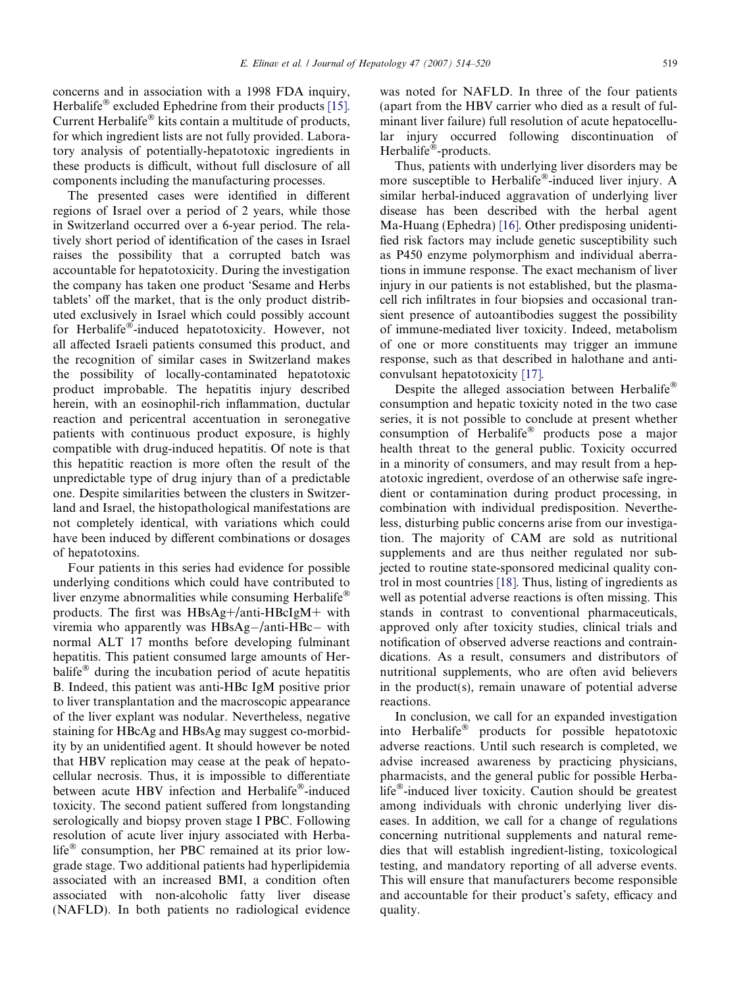concerns and in association with a 1998 FDA inquiry, Herbalife® excluded Ephedrine from their products [\[15\].](#page-6-0) Current Herbalife® kits contain a multitude of products, for which ingredient lists are not fully provided. Laboratory analysis of potentially-hepatotoxic ingredients in these products is difficult, without full disclosure of all components including the manufacturing processes.

The presented cases were identified in different regions of Israel over a period of 2 years, while those in Switzerland occurred over a 6-year period. The relatively short period of identification of the cases in Israel raises the possibility that a corrupted batch was accountable for hepatotoxicity. During the investigation the company has taken one product 'Sesame and Herbs tablets' off the market, that is the only product distributed exclusively in Israel which could possibly account for Herbalife®-induced hepatotoxicity. However, not all affected Israeli patients consumed this product, and the recognition of similar cases in Switzerland makes the possibility of locally-contaminated hepatotoxic product improbable. The hepatitis injury described herein, with an eosinophil-rich inflammation, ductular reaction and pericentral accentuation in seronegative patients with continuous product exposure, is highly compatible with drug-induced hepatitis. Of note is that this hepatitic reaction is more often the result of the unpredictable type of drug injury than of a predictable one. Despite similarities between the clusters in Switzerland and Israel, the histopathological manifestations are not completely identical, with variations which could have been induced by different combinations or dosages of hepatotoxins.

Four patients in this series had evidence for possible underlying conditions which could have contributed to liver enzyme abnormalities while consuming Herbalife® products. The first was HBsAg+/anti-HBcIgM+ with viremia who apparently was  $HBsAg-/anti-HBc-$  with normal ALT 17 months before developing fulminant hepatitis. This patient consumed large amounts of Herbalife<sup>®</sup> during the incubation period of acute hepatitis B. Indeed, this patient was anti-HBc IgM positive prior to liver transplantation and the macroscopic appearance of the liver explant was nodular. Nevertheless, negative staining for HBcAg and HBsAg may suggest co-morbidity by an unidentified agent. It should however be noted that HBV replication may cease at the peak of hepatocellular necrosis. Thus, it is impossible to differentiate between acute HBV infection and Herbalife®-induced toxicity. The second patient suffered from longstanding serologically and biopsy proven stage I PBC. Following resolution of acute liver injury associated with Herbalife® consumption, her PBC remained at its prior lowgrade stage. Two additional patients had hyperlipidemia associated with an increased BMI, a condition often associated with non-alcoholic fatty liver disease (NAFLD). In both patients no radiological evidence was noted for NAFLD. In three of the four patients (apart from the HBV carrier who died as a result of fulminant liver failure) full resolution of acute hepatocellular injury occurred following discontinuation of Herbalife®-products.

Thus, patients with underlying liver disorders may be more susceptible to Herbalife®-induced liver injury. A similar herbal-induced aggravation of underlying liver disease has been described with the herbal agent Ma-Huang (Ephedra) [\[16\].](#page-6-0) Other predisposing unidentified risk factors may include genetic susceptibility such as P450 enzyme polymorphism and individual aberrations in immune response. The exact mechanism of liver injury in our patients is not established, but the plasmacell rich infiltrates in four biopsies and occasional transient presence of autoantibodies suggest the possibility of immune-mediated liver toxicity. Indeed, metabolism of one or more constituents may trigger an immune response, such as that described in halothane and anticonvulsant hepatotoxicity [\[17\].](#page-6-0)

Despite the alleged association between Herbalife® consumption and hepatic toxicity noted in the two case series, it is not possible to conclude at present whether consumption of Herbalife® products pose a major health threat to the general public. Toxicity occurred in a minority of consumers, and may result from a hepatotoxic ingredient, overdose of an otherwise safe ingredient or contamination during product processing, in combination with individual predisposition. Nevertheless, disturbing public concerns arise from our investigation. The majority of CAM are sold as nutritional supplements and are thus neither regulated nor subjected to routine state-sponsored medicinal quality control in most countries [\[18\].](#page-6-0) Thus, listing of ingredients as well as potential adverse reactions is often missing. This stands in contrast to conventional pharmaceuticals, approved only after toxicity studies, clinical trials and notification of observed adverse reactions and contraindications. As a result, consumers and distributors of nutritional supplements, who are often avid believers in the product(s), remain unaware of potential adverse reactions.

In conclusion, we call for an expanded investigation into Herbalife® products for possible hepatotoxic adverse reactions. Until such research is completed, we advise increased awareness by practicing physicians, pharmacists, and the general public for possible Herbalife<sup>®</sup>-induced liver toxicity. Caution should be greatest among individuals with chronic underlying liver diseases. In addition, we call for a change of regulations concerning nutritional supplements and natural remedies that will establish ingredient-listing, toxicological testing, and mandatory reporting of all adverse events. This will ensure that manufacturers become responsible and accountable for their product's safety, efficacy and quality.